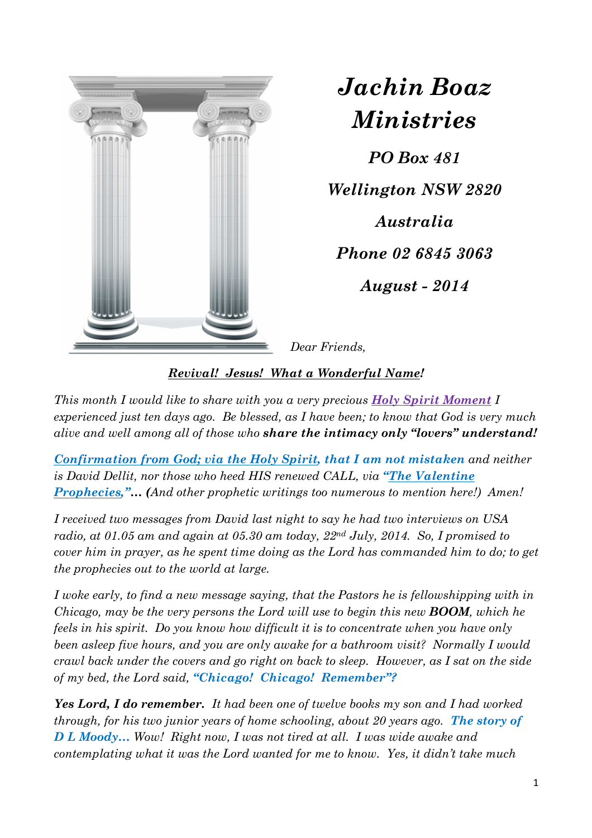

*Jachin Boaz Ministries*

*PO Box 481 Wellington NSW 2820 Australia Phone 02 6845 3063 August - 2014* 

*Dear Friends,* 

*Revival! Jesus! What a Wonderful Name!* 

*This month I would like to share with you a very precious Holy Spirit Moment I experienced just ten days ago. Be blessed, as I have been; to know that God is very much alive and well among all of those who share the intimacy only "lovers" understand!* 

*Confirmation from God; via the Holy Spirit, that I am not mistaken and neither is David Dellit, nor those who heed HIS renewed CALL, via "The Valentine Prophecies,"… (And other prophetic writings too numerous to mention here!) Amen!* 

*I received two messages from David last night to say he had two interviews on USA radio, at 01.05 am and again at 05.30 am today, 22nd July, 2014. So, I promised to cover him in prayer, as he spent time doing as the Lord has commanded him to do; to get the prophecies out to the world at large.* 

*I woke early, to find a new message saying, that the Pastors he is fellowshipping with in Chicago, may be the very persons the Lord will use to begin this new BOOM, which he feels in his spirit. Do you know how difficult it is to concentrate when you have only been asleep five hours, and you are only awake for a bathroom visit? Normally I would crawl back under the covers and go right on back to sleep. However, as I sat on the side of my bed, the Lord said, "Chicago! Chicago! Remember"?* 

*Yes Lord, I do remember. It had been one of twelve books my son and I had worked through, for his two junior years of home schooling, about 20 years ago. The story of D L Moody… Wow! Right now, I was not tired at all. I was wide awake and contemplating what it was the Lord wanted for me to know. Yes, it didn't take much*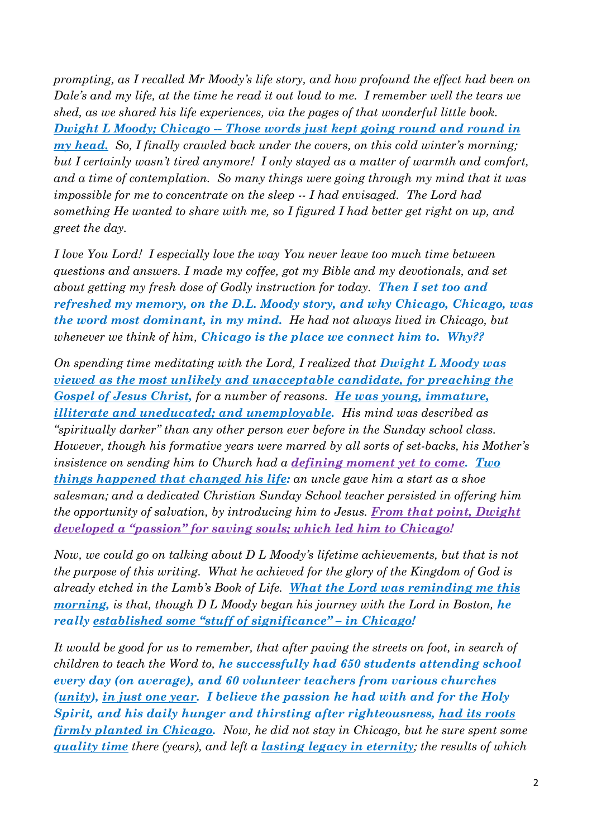*prompting, as I recalled Mr Moody's life story, and how profound the effect had been on Dale's and my life, at the time he read it out loud to me. I remember well the tears we shed, as we shared his life experiences, via the pages of that wonderful little book. Dwight L Moody; Chicago -- Those words just kept going round and round in my head. So, I finally crawled back under the covers, on this cold winter's morning; but I certainly wasn't tired anymore! I only stayed as a matter of warmth and comfort, and a time of contemplation. So many things were going through my mind that it was impossible for me to concentrate on the sleep -- I had envisaged. The Lord had something He wanted to share with me, so I figured I had better get right on up, and greet the day.*

*I love You Lord! I especially love the way You never leave too much time between questions and answers. I made my coffee, got my Bible and my devotionals, and set about getting my fresh dose of Godly instruction for today. Then I set too and refreshed my memory, on the D.L. Moody story, and why Chicago, Chicago, was the word most dominant, in my mind. He had not always lived in Chicago, but whenever we think of him, Chicago is the place we connect him to. Why??*

*On spending time meditating with the Lord, I realized that Dwight L Moody was viewed as the most unlikely and unacceptable candidate, for preaching the Gospel of Jesus Christ, for a number of reasons. He was young, immature, illiterate and uneducated; and unemployable. His mind was described as "spiritually darker" than any other person ever before in the Sunday school class. However, though his formative years were marred by all sorts of set-backs, his Mother's insistence on sending him to Church had a defining moment yet to come. Two things happened that changed his life: an uncle gave him a start as a shoe salesman; and a dedicated Christian Sunday School teacher persisted in offering him the opportunity of salvation, by introducing him to Jesus. From that point, Dwight developed a "passion" for saving souls; which led him to Chicago!* 

*Now, we could go on talking about D L Moody's lifetime achievements, but that is not the purpose of this writing. What he achieved for the glory of the Kingdom of God is already etched in the Lamb's Book of Life. What the Lord was reminding me this morning, is that, though D L Moody began his journey with the Lord in Boston, he really established some "stuff of significance" – in Chicago!* 

It would be good for us to remember, that after paving the streets on foot, in search of *children to teach the Word to, he successfully had 650 students attending school every day (on average), and 60 volunteer teachers from various churches (unity), in just one year. I believe the passion he had with and for the Holy Spirit, and his daily hunger and thirsting after righteousness, had its roots firmly planted in Chicago. Now, he did not stay in Chicago, but he sure spent some quality time there (years), and left a lasting legacy in eternity; the results of which*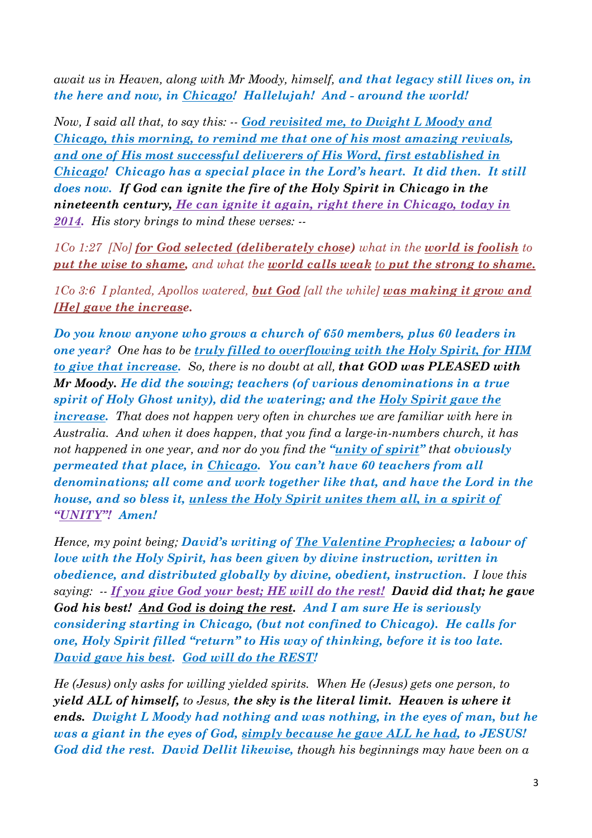*await us in Heaven, along with Mr Moody, himself, and that legacy still lives on, in the here and now, in Chicago! Hallelujah! And - around the world!*

*Now, I said all that, to say this: -- God revisited me, to Dwight L Moody and Chicago, this morning, to remind me that one of his most amazing revivals, and one of His most successful deliverers of His Word, first established in Chicago! Chicago has a special place in the Lord's heart. It did then. It still does now. If God can ignite the fire of the Holy Spirit in Chicago in the nineteenth century, He can ignite it again, right there in Chicago, today in 2014. His story brings to mind these verses: --* 

*1Co 1:27 [No] for God selected (deliberately chose) what in the world is foolish to put the wise to shame, and what the world calls weak to put the strong to shame.* 

*1Co 3:6 I planted, Apollos watered, but God [all the while] was making it grow and [He] gave the increase.*

*Do you know anyone who grows a church of 650 members, plus 60 leaders in one year? One has to be truly filled to overflowing with the Holy Spirit, for HIM to give that increase. So, there is no doubt at all, that GOD was PLEASED with Mr Moody. He did the sowing; teachers (of various denominations in a true spirit of Holy Ghost unity), did the watering; and the Holy Spirit gave the increase. That does not happen very often in churches we are familiar with here in Australia. And when it does happen, that you find a large-in-numbers church, it has not happened in one year, and nor do you find the "unity of spirit" that obviously permeated that place, in Chicago. You can't have 60 teachers from all denominations; all come and work together like that, and have the Lord in the house, and so bless it, unless the Holy Spirit unites them all, in a spirit of "UNITY"! Amen!* 

*Hence, my point being; David's writing of The Valentine Prophecies; a labour of love with the Holy Spirit, has been given by divine instruction, written in obedience, and distributed globally by divine, obedient, instruction. I love this saying: -- If you give God your best; HE will do the rest! David did that; he gave God his best! And God is doing the rest. And I am sure He is seriously considering starting in Chicago, (but not confined to Chicago). He calls for one, Holy Spirit filled "return" to His way of thinking, before it is too late. David gave his best. God will do the REST!* 

*He (Jesus) only asks for willing yielded spirits. When He (Jesus) gets one person, to yield ALL of himself, to Jesus, the sky is the literal limit. Heaven is where it ends. Dwight L Moody had nothing and was nothing, in the eyes of man, but he was a giant in the eyes of God, simply because he gave ALL he had, to JESUS! God did the rest. David Dellit likewise, though his beginnings may have been on a*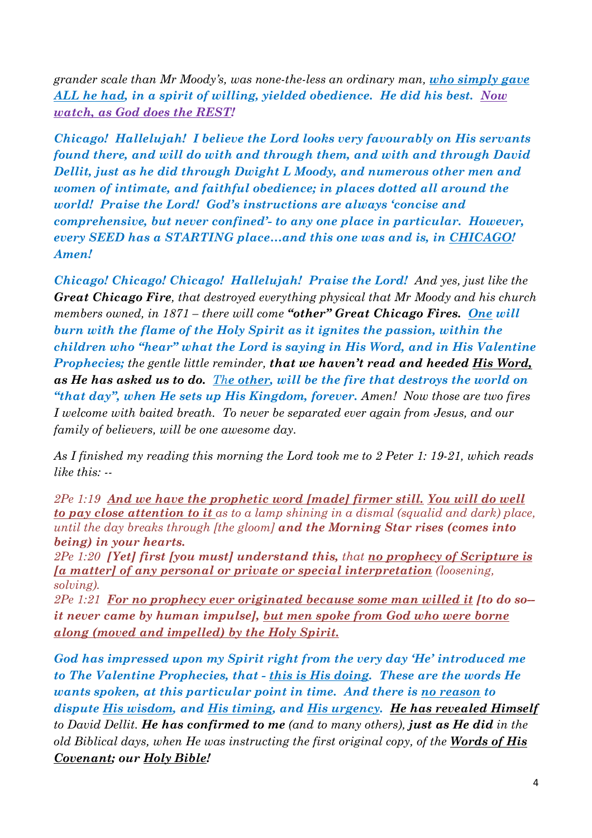*grander scale than Mr Moody's, was none-the-less an ordinary man, who simply gave ALL he had, in a spirit of willing, yielded obedience. He did his best. Now watch, as God does the REST!*

*Chicago! Hallelujah! I believe the Lord looks very favourably on His servants found there, and will do with and through them, and with and through David Dellit, just as he did through Dwight L Moody, and numerous other men and women of intimate, and faithful obedience; in places dotted all around the world! Praise the Lord! God's instructions are always 'concise and comprehensive, but never confined'- to any one place in particular. However, every SEED has a STARTING place…and this one was and is, in CHICAGO! Amen!* 

*Chicago! Chicago! Chicago! Hallelujah! Praise the Lord! And yes, just like the Great Chicago Fire, that destroyed everything physical that Mr Moody and his church members owned, in 1871 – there will come "other" Great Chicago Fires. One will burn with the flame of the Holy Spirit as it ignites the passion, within the children who "hear" what the Lord is saying in His Word, and in His Valentine Prophecies; the gentle little reminder, that we haven't read and heeded His Word, as He has asked us to do. The other, will be the fire that destroys the world on "that day", when He sets up His Kingdom, forever. Amen! Now those are two fires I welcome with baited breath. To never be separated ever again from Jesus, and our family of believers, will be one awesome day.* 

*As I finished my reading this morning the Lord took me to 2 Peter 1: 19-21, which reads like this: --* 

*2Pe 1:19 And we have the prophetic word [made] firmer still. You will do well to pay close attention to it as to a lamp shining in a dismal (squalid and dark) place, until the day breaks through [the gloom] and the Morning Star rises (comes into being) in your hearts.* 

*2Pe 1:20 [Yet] first [you must] understand this, that no prophecy of Scripture is [a matter] of any personal or private or special interpretation (loosening, solving).* 

*2Pe 1:21 For no prophecy ever originated because some man willed it [to do so- it never came by human impulse], but men spoke from God who were borne along (moved and impelled) by the Holy Spirit.*

*God has impressed upon my Spirit right from the very day 'He' introduced me to The Valentine Prophecies, that - this is His doing. These are the words He wants spoken, at this particular point in time. And there is no reason to dispute His wisdom, and His timing, and His urgency. He has revealed Himself to David Dellit. He has confirmed to me (and to many others), just as He did in the old Biblical days, when He was instructing the first original copy, of the Words of His Covenant; our Holy Bible!*